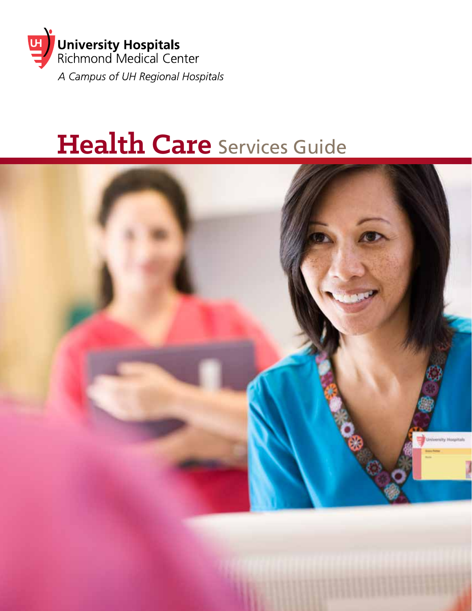

# **Health Care** Services Guide

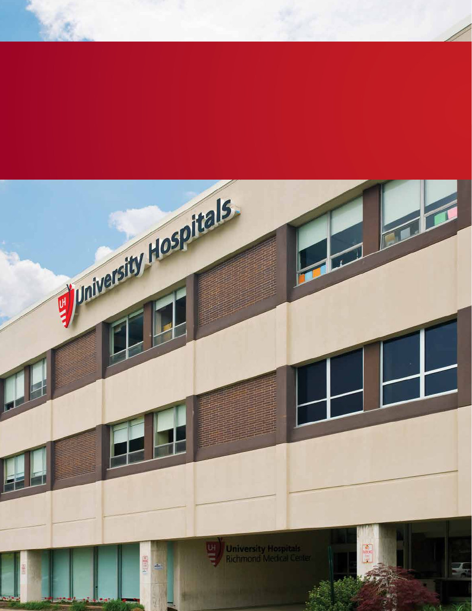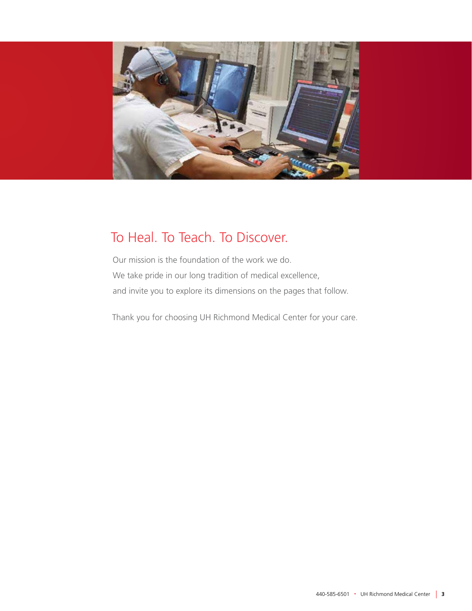

### To Heal. To Teach. To Discover.

Our mission is the foundation of the work we do. We take pride in our long tradition of medical excellence, and invite you to explore its dimensions on the pages that follow.

Thank you for choosing UH Richmond Medical Center for your care.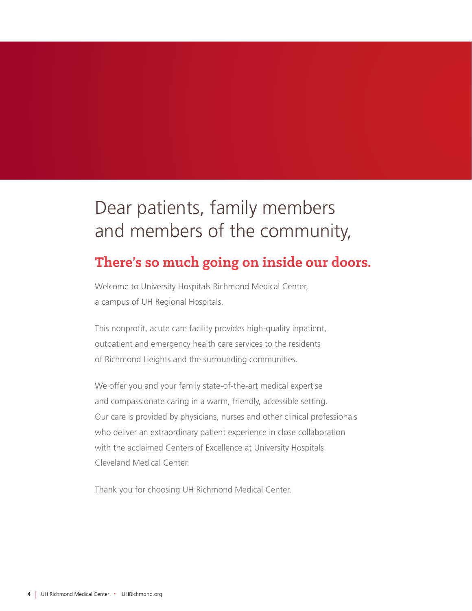## Dear patients, family members and members of the community,

### **There's so much going on inside our doors.**

Welcome to University Hospitals Richmond Medical Center, a campus of UH Regional Hospitals.

This nonprofit, acute care facility provides high-quality inpatient, outpatient and emergency health care services to the residents of Richmond Heights and the surrounding communities.

We offer you and your family state-of-the-art medical expertise and compassionate caring in a warm, friendly, accessible setting. Our care is provided by physicians, nurses and other clinical professionals who deliver an extraordinary patient experience in close collaboration with the acclaimed Centers of Excellence at University Hospitals Cleveland Medical Center.

Thank you for choosing UH Richmond Medical Center.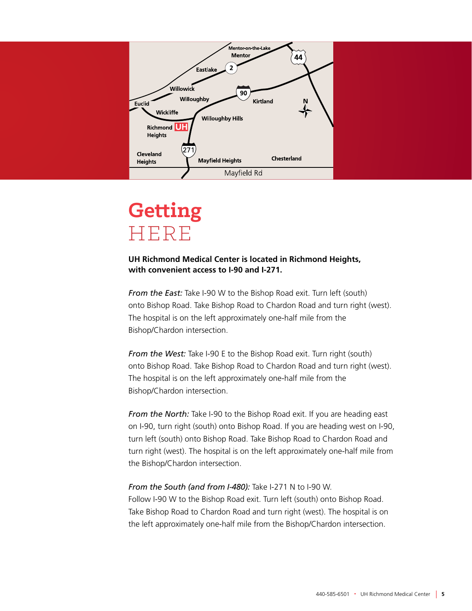

## **Getting**  HERE

#### **UH Richmond Medical Center is located in Richmond Heights, with convenient access to I-90 and I-271.**

**From the East:** Take I-90 W to the Bishop Road exit. Turn left (south) onto Bishop Road. Take Bishop Road to Chardon Road and turn right (west). The hospital is on the left approximately one-half mile from the Bishop/Chardon intersection.

*From the West:* Take I-90 E to the Bishop Road exit. Turn right (south) onto Bishop Road. Take Bishop Road to Chardon Road and turn right (west). The hospital is on the left approximately one-half mile from the Bishop/Chardon intersection.

*From the North:* Take I-90 to the Bishop Road exit. If you are heading east on I-90, turn right (south) onto Bishop Road. If you are heading west on I-90, turn left (south) onto Bishop Road. Take Bishop Road to Chardon Road and turn right (west). The hospital is on the left approximately one-half mile from the Bishop/Chardon intersection.

#### *From the South (and from I-480):* Take I-271 N to I-90 W.

Follow I-90 W to the Bishop Road exit. Turn left (south) onto Bishop Road. Take Bishop Road to Chardon Road and turn right (west). The hospital is on the left approximately one-half mile from the Bishop/Chardon intersection.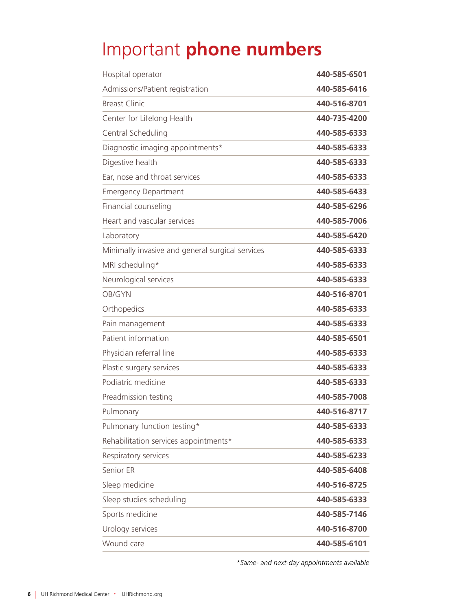## Important **phone numbers**

| Hospital operator                                | 440-585-6501 |
|--------------------------------------------------|--------------|
| Admissions/Patient registration                  | 440-585-6416 |
| <b>Breast Clinic</b>                             | 440-516-8701 |
| Center for Lifelong Health                       | 440-735-4200 |
| Central Scheduling                               | 440-585-6333 |
| Diagnostic imaging appointments*                 | 440-585-6333 |
| Digestive health                                 | 440-585-6333 |
| Ear, nose and throat services                    | 440-585-6333 |
| <b>Emergency Department</b>                      | 440-585-6433 |
| Financial counseling                             | 440-585-6296 |
| Heart and vascular services                      | 440-585-7006 |
| Laboratory                                       | 440-585-6420 |
| Minimally invasive and general surgical services | 440-585-6333 |
| MRI scheduling*                                  | 440-585-6333 |
| Neurological services                            | 440-585-6333 |
| OB/GYN                                           | 440-516-8701 |
| Orthopedics                                      | 440-585-6333 |
| Pain management                                  | 440-585-6333 |
| Patient information                              | 440-585-6501 |
| Physician referral line                          | 440-585-6333 |
| Plastic surgery services                         | 440-585-6333 |
| Podiatric medicine                               | 440-585-6333 |
| Preadmission testing                             | 440-585-7008 |
| Pulmonary                                        | 440-516-8717 |
| Pulmonary function testing*                      | 440-585-6333 |
| Rehabilitation services appointments*            | 440-585-6333 |
| Respiratory services                             | 440-585-6233 |
| Senior ER                                        | 440-585-6408 |
| Sleep medicine                                   | 440-516-8725 |
| Sleep studies scheduling                         | 440-585-6333 |
| Sports medicine                                  | 440-585-7146 |
| Urology services                                 | 440-516-8700 |
| Wound care                                       | 440-585-6101 |

*\*Same- and next-day appointments available*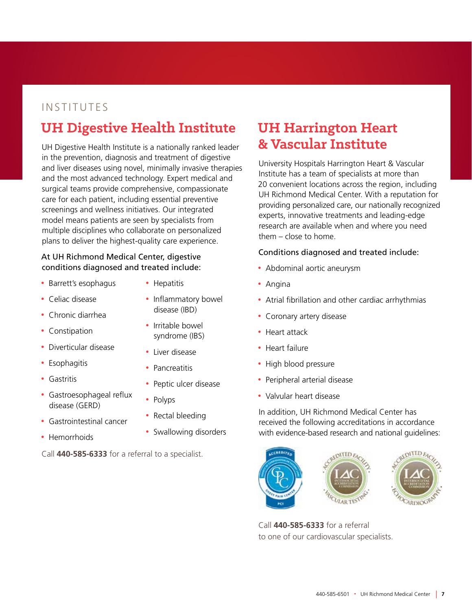#### INSTITUTES

### **UH Digestive Health Institute**

UH Digestive Health Institute is a nationally ranked leader in the prevention, diagnosis and treatment of digestive and liver diseases using novel, minimally invasive therapies and the most advanced technology. Expert medical and surgical teams provide comprehensive, compassionate care for each patient, including essential preventive screenings and wellness initiatives. Our integrated model means patients are seen by specialists from multiple disciplines who collaborate on personalized plans to deliver the highest-quality care experience.

#### At UH Richmond Medical Center, digestive conditions diagnosed and treated include:

- Barrett's esophagus
- Hepatitis
- Celiac disease
- Inflammatory bowel disease (IBD)
- Chronic diarrhea
- Constipation
- Diverticular disease
- Esophagitis
- Gastritis

• Liver disease

• Irritable bowel syndrome (IBS)

• Pancreatitis

• Polyps

• Peptic ulcer disease

• Swallowing disorders

• Rectal bleeding

- Gastroesophageal reflux disease (GERD)
- Gastrointestinal cancer
- Hemorrhoids
- Call **440-585-6333** for a referral to a specialist.

### **UH Harrington Heart & Vascular Institute**

University Hospitals Harrington Heart & Vascular Institute has a team of specialists at more than 20 convenient locations across the region, including UH Richmond Medical Center. With a reputation for providing personalized care, our nationally recognized experts, innovative treatments and leading-edge research are available when and where you need them – close to home.

#### Conditions diagnosed and treated include:

- Abdominal aortic aneurysm
- 
- Atrial fibrillation and other cardiac arrhythmias
- Coronary artery disease
- Heart attack
- Heart failure
- High blood pressure
- Peripheral arterial disease
- Valvular heart disease

In addition, UH Richmond Medical Center has received the following accreditations in accordance with evidence-based research and national guidelines:



Call **440-585-6333** for a referral to one of our cardiovascular specialists.

• Angina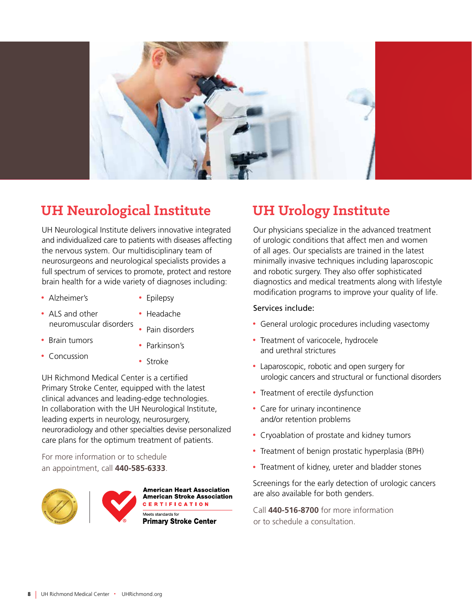

### **UH Neurological Institute**

UH Neurological Institute delivers innovative integrated and individualized care to patients with diseases affecting the nervous system. Our multidisciplinary team of neurosurgeons and neurological specialists provides a full spectrum of services to promote, protect and restore brain health for a wide variety of diagnoses including:

- Alzheimer's
- Epilepsy
- ALS and other neuromuscular disorders
- Headache

• Pain disorders

- Brain tumors
- Parkinson's
- Concussion
- Stroke

UH Richmond Medical Center is a certified Primary Stroke Center, equipped with the latest clinical advances and leading-edge technologies. In collaboration with the UH Neurological Institute, leading experts in neurology, neurosurgery, neuroradiology and other specialties devise personalized care plans for the optimum treatment of patients.

For more information or to schedule an appointment, call **440-585-6333**.





### **UH Urology Institute**

Our physicians specialize in the advanced treatment of urologic conditions that affect men and women of all ages. Our specialists are trained in the latest minimally invasive techniques including laparoscopic and robotic surgery. They also offer sophisticated diagnostics and medical treatments along with lifestyle modification programs to improve your quality of life.

#### Services include:

- General urologic procedures including vasectomy
- Treatment of varicocele, hydrocele and urethral strictures
- Laparoscopic, robotic and open surgery for urologic cancers and structural or functional disorders
- Treatment of erectile dysfunction
- Care for urinary incontinence and/or retention problems
- Cryoablation of prostate and kidney tumors
- Treatment of benign prostatic hyperplasia (BPH)
- Treatment of kidney, ureter and bladder stones

Screenings for the early detection of urologic cancers are also available for both genders.

Call **440-516-8700** for more information or to schedule a consultation.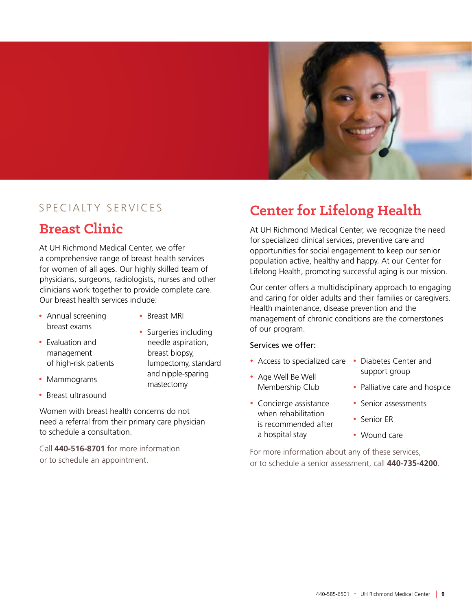

#### SPECIALTY SERVICES

### **Breast Clinic**

At UH Richmond Medical Center, we offer a comprehensive range of breast health services for women of all ages. Our highly skilled team of physicians, surgeons, radiologists, nurses and other clinicians work together to provide complete care. Our breast health services include:

- Annual screening breast exams
- Breast MRI
- Evaluation and management of high-risk patients
- Surgeries including needle aspiration, breast biopsy, lumpectomy, standard and nipple-sparing mastectomy
- Breast ultrasound

• Mammograms

Women with breast health concerns do not need a referral from their primary care physician to schedule a consultation.

Call **440-516-8701** for more information or to schedule an appointment.

### **Center for Lifelong Health**

At UH Richmond Medical Center, we recognize the need for specialized clinical services, preventive care and opportunities for social engagement to keep our senior population active, healthy and happy. At our Center for Lifelong Health, promoting successful aging is our mission.

Our center offers a multidisciplinary approach to engaging and caring for older adults and their families or caregivers. Health maintenance, disease prevention and the management of chronic conditions are the cornerstones of our program.

#### Services we offer:

- Access to specialized care Diabetes Center and
- Age Well Be Well Membership Club
- Concierge assistance when rehabilitation is recommended after a hospital stay
- support group
- Palliative care and hospice
- Senior assessments
- Senior ER
- Wound care

For more information about any of these services, or to schedule a senior assessment, call **440-735-4200**.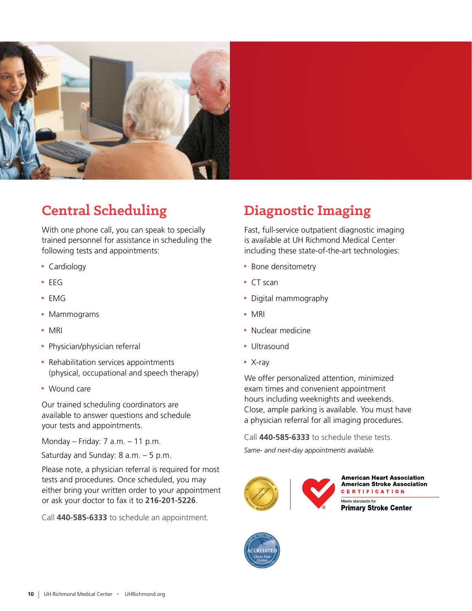

### **Central Scheduling**

With one phone call, you can speak to specially trained personnel for assistance in scheduling the following tests and appointments:

- Cardiology
- EEG
- EMG
- Mammograms
- MRI
- Physician/physician referral
- Rehabilitation services appointments (physical, occupational and speech therapy)
- Wound care

Our trained scheduling coordinators are available to answer questions and schedule your tests and appointments.

Monday – Friday: 7 a.m. – 11 p.m.

Saturday and Sunday: 8 a.m. – 5 p.m.

Please note, a physician referral is required for most tests and procedures. Once scheduled, you may either bring your written order to your appointment or ask your doctor to fax it to **216-201-5226**.

Call **440-585-6333** to schedule an appointment.

### **Diagnostic Imaging**

Fast, full-service outpatient diagnostic imaging is available at UH Richmond Medical Center including these state-of-the-art technologies:

- Bone densitometry
- CT scan
- Digital mammography
- MRI
- Nuclear medicine
- Ultrasound
- X-ray

We offer personalized attention, minimized exam times and convenient appointment hours including weeknights and weekends. Close, ample parking is available. You must have a physician referral for all imaging procedures.

Call **440-585-6333** to schedule these tests.

*Same- and next-day appointments available.* 





**Primary Stroke Center** 

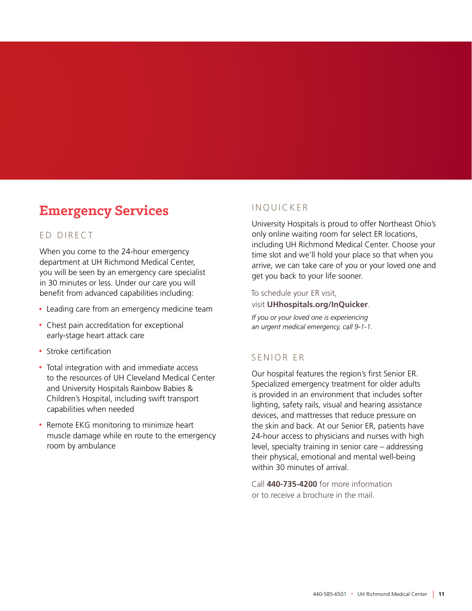### **Emergency Services**

#### ED DIRECT

When you come to the 24-hour emergency department at UH Richmond Medical Center, you will be seen by an emergency care specialist in 30 minutes or less. Under our care you will benefit from advanced capabilities including:

- Leading care from an emergency medicine team
- Chest pain accreditation for exceptional early-stage heart attack care
- Stroke certification
- Total integration with and immediate access to the resources of UH Cleveland Medical Center and University Hospitals Rainbow Babies & Children's Hospital, including swift transport capabilities when needed
- Remote EKG monitoring to minimize heart muscle damage while en route to the emergency room by ambulance

#### INQUICKER

University Hospitals is proud to offer Northeast Ohio's only online waiting room for select ER locations, including UH Richmond Medical Center. Choose your time slot and we'll hold your place so that when you arrive, we can take care of you or your loved one and get you back to your life sooner.

To schedule your ER visit,

visit **UHhospitals.org/InQuicker**.

*If you or your loved one is experiencing an urgent medical emergency, call 9-1-1.*

#### SENIOR ER

Our hospital features the region's first Senior ER. Specialized emergency treatment for older adults is provided in an environment that includes softer lighting, safety rails, visual and hearing assistance devices, and mattresses that reduce pressure on the skin and back. At our Senior ER, patients have 24-hour access to physicians and nurses with high level, specialty training in senior care – addressing their physical, emotional and mental well-being within 30 minutes of arrival.

Call **440-735-4200** for more information or to receive a brochure in the mail.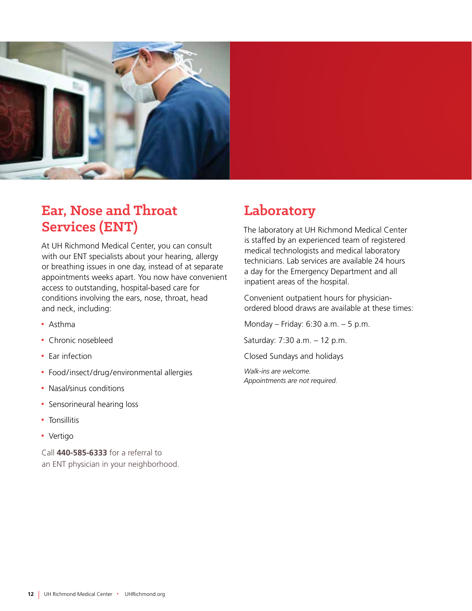

### **Ear, Nose and Throat Services (ENT)**

At UH Richmond Medical Center, you can consult with our ENT specialists about your hearing, allergy or breathing issues in one day, instead of at separate appointments weeks apart. You now have convenient access to outstanding, hospital-based care for conditions involving the ears, nose, throat, head and neck, including:

- Asthma
- Chronic nosebleed
- Ear infection
- Food/insect/drug/environmental allergies
- Nasal/sinus conditions
- Sensorineural hearing loss
- Tonsillitis
- Vertigo

Call **440-585-6333** for a referral to an ENT physician in your neighborhood.

### **Laboratory**

The laboratory at UH Richmond Medical Center is staffed by an experienced team of registered medical technologists and medical laboratory technicians. Lab services are available 24 hours a day for the Emergency Department and all inpatient areas of the hospital.

Convenient outpatient hours for physicianordered blood draws are available at these times:

Monday – Friday: 6:30 a.m. – 5 p.m.

Saturday: 7:30 a.m. – 12 p.m.

Closed Sundays and holidays

*Walk-ins are welcome. Appointments are not required.*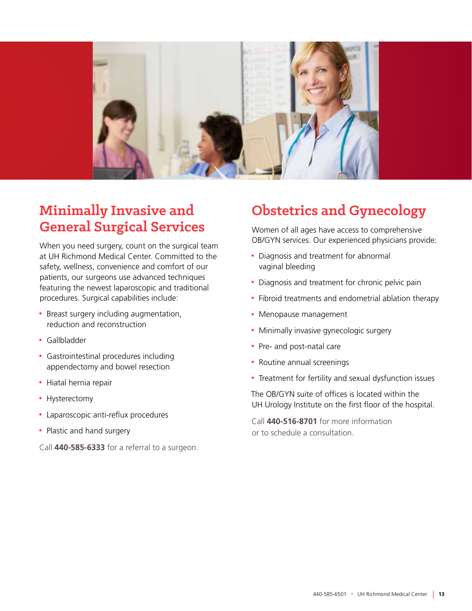

### **Minimally Invasive and General Surgical Services**

When you need surgery, count on the surgical team at UH Richmond Medical Center. Committed to the safety, wellness, convenience and comfort of our patients, our surgeons use advanced techniques featuring the newest laparoscopic and traditional procedures. Surgical capabilities include:

- Breast surgery including augmentation, reduction and reconstruction
- Gallbladder
- Gastrointestinal procedures including appendectomy and bowel resection
- Hiatal hernia repair
- Hysterectomy
- Laparoscopic anti-reflux procedures
- Plastic and hand surgery

Call **440-585-6333** for a referral to a surgeon.

### **Obstetrics and Gynecology**

Women of all ages have access to comprehensive OB/GYN services. Our experienced physicians provide:

- Diagnosis and treatment for abnormal vaginal bleeding
- Diagnosis and treatment for chronic pelvic pain
- Fibroid treatments and endometrial ablation therapy
- Menopause management
- Minimally invasive gynecologic surgery
- Pre- and post-natal care
- Routine annual screenings
- Treatment for fertility and sexual dysfunction issues

The OB/GYN suite of offices is located within the UH Urology Institute on the first floor of the hospital.

Call **440-516-8701** for more information or to schedule a consultation.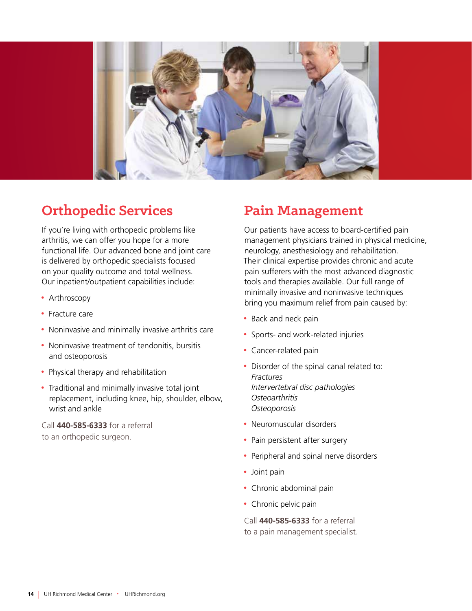

### **Orthopedic Services**

If you're living with orthopedic problems like arthritis, we can offer you hope for a more functional life. Our advanced bone and joint care is delivered by orthopedic specialists focused on your quality outcome and total wellness. Our inpatient/outpatient capabilities include:

- Arthroscopy
- Fracture care
- Noninvasive and minimally invasive arthritis care
- Noninvasive treatment of tendonitis, bursitis and osteoporosis
- Physical therapy and rehabilitation
- Traditional and minimally invasive total joint replacement, including knee, hip, shoulder, elbow, wrist and ankle

Call **440-585-6333** for a referral to an orthopedic surgeon.

### **Pain Management**

Our patients have access to board-certified pain management physicians trained in physical medicine, neurology, anesthesiology and rehabilitation. Their clinical expertise provides chronic and acute pain sufferers with the most advanced diagnostic tools and therapies available. Our full range of minimally invasive and noninvasive techniques bring you maximum relief from pain caused by:

- Back and neck pain
- Sports- and work-related injuries
- Cancer-related pain
- Disorder of the spinal canal related to: *Fractures Intervertebral disc pathologies Osteoarthritis Osteoporosis*
- Neuromuscular disorders
- Pain persistent after surgery
- Peripheral and spinal nerve disorders
- Joint pain
- Chronic abdominal pain
- Chronic pelvic pain

Call **440-585-6333** for a referral to a pain management specialist.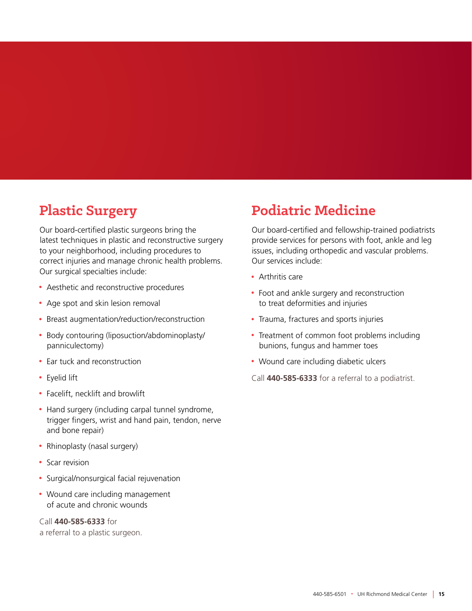### **Plastic Surgery**

Our board-certified plastic surgeons bring the latest techniques in plastic and reconstructive surgery to your neighborhood, including procedures to correct injuries and manage chronic health problems. Our surgical specialties include:

- Aesthetic and reconstructive procedures
- Age spot and skin lesion removal
- Breast augmentation/reduction/reconstruction
- Body contouring (liposuction/abdominoplasty/ panniculectomy)
- Ear tuck and reconstruction
- Eyelid lift
- Facelift, necklift and browlift
- Hand surgery (including carpal tunnel syndrome, trigger fingers, wrist and hand pain, tendon, nerve and bone repair)
- Rhinoplasty (nasal surgery)
- Scar revision
- Surgical/nonsurgical facial rejuvenation
- Wound care including management of acute and chronic wounds

### Call **440-585-6333** for

a referral to a plastic surgeon.

### **Podiatric Medicine**

Our board-certified and fellowship-trained podiatrists provide services for persons with foot, ankle and leg issues, including orthopedic and vascular problems. Our services include:

- Arthritis care
- Foot and ankle surgery and reconstruction to treat deformities and injuries
- Trauma, fractures and sports injuries
- Treatment of common foot problems including bunions, fungus and hammer toes
- Wound care including diabetic ulcers

Call **440-585-6333** for a referral to a podiatrist.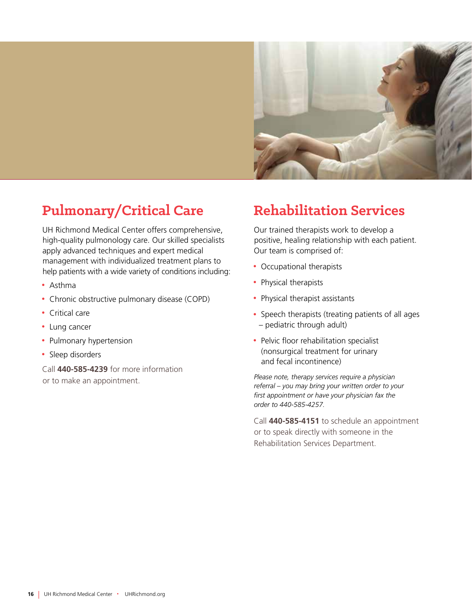

### **Pulmonary/Critical Care**

UH Richmond Medical Center offers comprehensive, high-quality pulmonology care. Our skilled specialists apply advanced techniques and expert medical management with individualized treatment plans to help patients with a wide variety of conditions including:

- Asthma
- Chronic obstructive pulmonary disease (COPD)
- Critical care
- Lung cancer
- Pulmonary hypertension
- Sleep disorders

Call **440-585-4239** for more information or to make an appointment.

### **Rehabilitation Services**

Our trained therapists work to develop a positive, healing relationship with each patient. Our team is comprised of:

- Occupational therapists
- Physical therapists
- Physical therapist assistants
- Speech therapists (treating patients of all ages – pediatric through adult)
- Pelvic floor rehabilitation specialist (nonsurgical treatment for urinary and fecal incontinence)

*Please note, therapy services require a physician referral – you may bring your written order to your first appointment or have your physician fax the order to 440-585-4257.*

Call **440-585-4151** to schedule an appointment or to speak directly with someone in the Rehabilitation Services Department.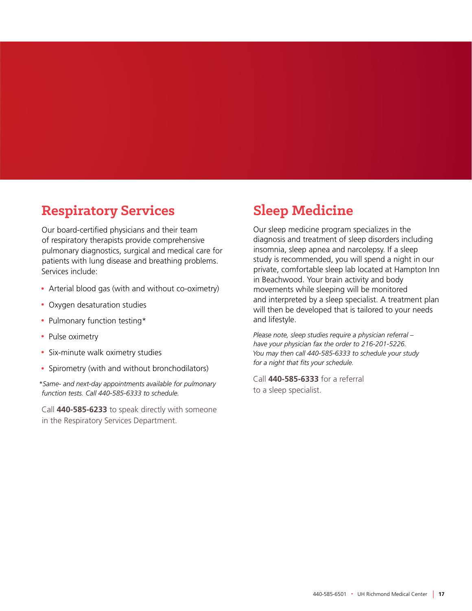### **Respiratory Services**

Our board-certified physicians and their team of respiratory therapists provide comprehensive pulmonary diagnostics, surgical and medical care for patients with lung disease and breathing problems. Services include:

- Arterial blood gas (with and without co-oximetry)
- Oxygen desaturation studies
- Pulmonary function testing\*
- Pulse oximetry
- Six-minute walk oximetry studies
- Spirometry (with and without bronchodilators)

*\*Same- and next-day appointments available for pulmonary function tests. Call 440-585-6333 to schedule.*

Call **440-585-6233** to speak directly with someone in the Respiratory Services Department.

### **Sleep Medicine**

Our sleep medicine program specializes in the diagnosis and treatment of sleep disorders including insomnia, sleep apnea and narcolepsy. If a sleep study is recommended, you will spend a night in our private, comfortable sleep lab located at Hampton Inn in Beachwood. Your brain activity and body movements while sleeping will be monitored and interpreted by a sleep specialist. A treatment plan will then be developed that is tailored to your needs and lifestyle.

*Please note, sleep studies require a physician referral – have your physician fax the order to 216-201-5226. You may then call 440-585-6333 to schedule your study for a night that fits your schedule.*

Call **440-585-6333** for a referral to a sleep specialist.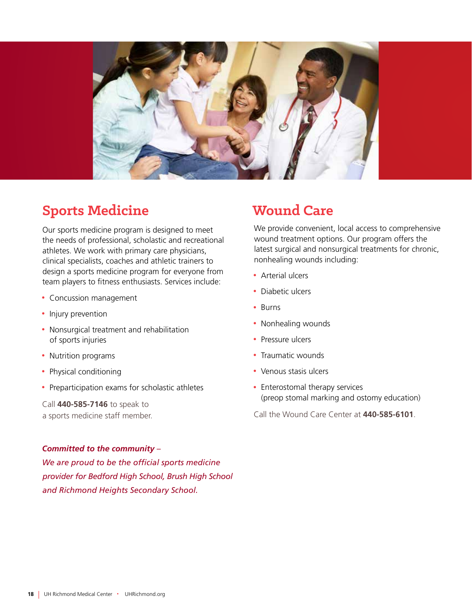

### **Sports Medicine**

Our sports medicine program is designed to meet the needs of professional, scholastic and recreational athletes. We work with primary care physicians, clinical specialists, coaches and athletic trainers to design a sports medicine program for everyone from team players to fitness enthusiasts. Services include:

- Concussion management
- Injury prevention
- Nonsurgical treatment and rehabilitation of sports injuries
- Nutrition programs
- Physical conditioning
- Preparticipation exams for scholastic athletes

Call **440-585-7146** to speak to a sports medicine staff member.

#### *Committed to the community –*

*We are proud to be the official sports medicine provider for Bedford High School, Brush High School and Richmond Heights Secondary School.*

### **Wound Care**

We provide convenient, local access to comprehensive wound treatment options. Our program offers the latest surgical and nonsurgical treatments for chronic, nonhealing wounds including:

- Arterial ulcers
- Diabetic ulcers
- Burns
- Nonhealing wounds
- Pressure ulcers
- Traumatic wounds
- Venous stasis ulcers
- Enterostomal therapy services (preop stomal marking and ostomy education)

Call the Wound Care Center at **440-585-6101**.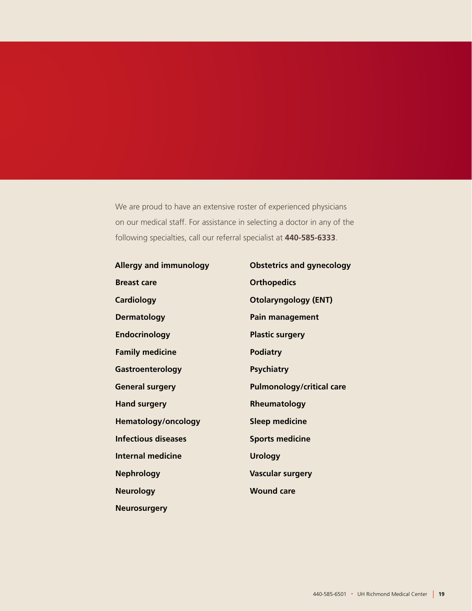We are proud to have an extensive roster of experienced physicians on our medical staff. For assistance in selecting a doctor in any of the following specialties, call our referral specialist at **440-585-6333**.

| <b>Allergy and immunology</b> | <b>Obstetrics and gynecology</b> |
|-------------------------------|----------------------------------|
| <b>Breast care</b>            | <b>Orthopedics</b>               |
| <b>Cardiology</b>             | <b>Otolaryngology (ENT)</b>      |
| <b>Dermatology</b>            | <b>Pain management</b>           |
| <b>Endocrinology</b>          | <b>Plastic surgery</b>           |
| <b>Family medicine</b>        | <b>Podiatry</b>                  |
| Gastroenterology              | <b>Psychiatry</b>                |
| <b>General surgery</b>        | <b>Pulmonology/critical care</b> |
| <b>Hand surgery</b>           | Rheumatology                     |
| <b>Hematology/oncology</b>    | <b>Sleep medicine</b>            |
| <b>Infectious diseases</b>    | <b>Sports medicine</b>           |
| <b>Internal medicine</b>      | <b>Urology</b>                   |
| <b>Nephrology</b>             | <b>Vascular surgery</b>          |
| <b>Neurology</b>              | <b>Wound care</b>                |
| <b>Neurosurgery</b>           |                                  |